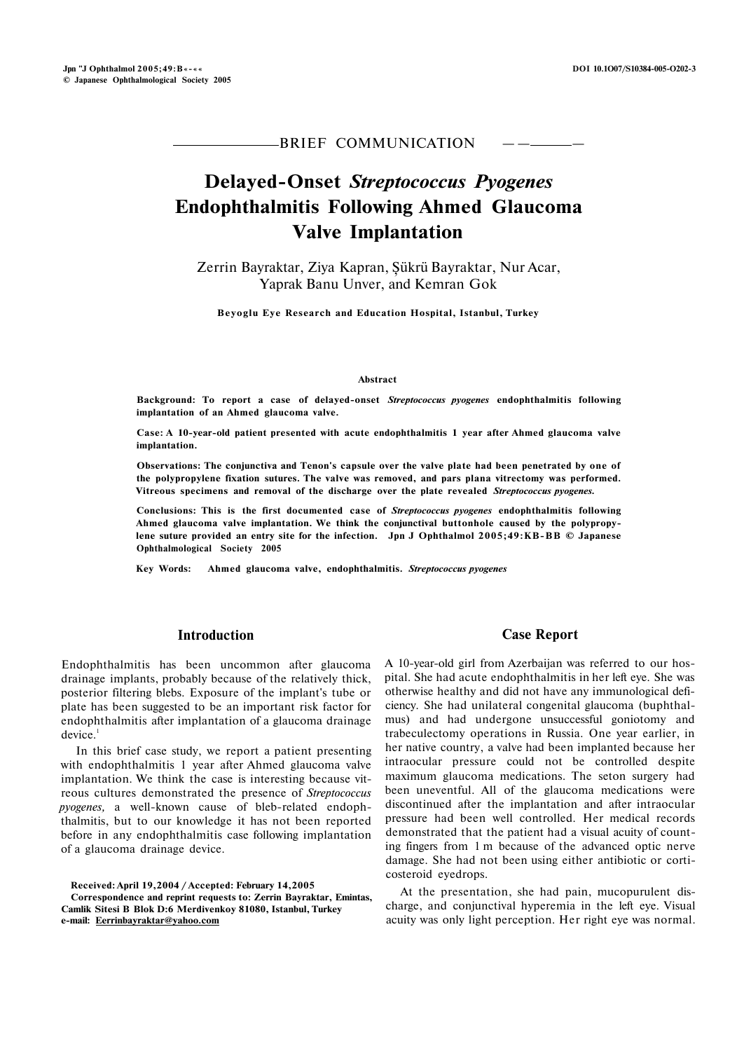# BRIEF COMMUNICATION

# **Delayed-Onset** *Streptococcus Pyogenes*  **Endophthalmitis Following Ahmed Glaucoma Valve Implantation**

Zerrin Bayraktar, Ziya Kapran, Şükrü Bayraktar, Nur Acar, Yaprak Banu Unver, and Kemran Gok

**Beyoglu Eye Research and Education Hospital, Istanbul, Turkey** 

#### **Abstract**

**Background: To report a case of delayed-onset** *Streptococcus pyogenes* **endophthalmitis following implantation of an Ahmed glaucoma valve.** 

**Case: A 10-year-old patient presented with acute endophthalmitis 1 year after Ahmed glaucoma valve implantation.** 

**Observations: The conjunctiva and Tenon's capsule over the valve plate had been penetrated by one of the polypropylene fixation sutures. The valve was removed, and pars plana vitrectomy was performed. Vitreous specimens and removal of the discharge over the plate revealed** *Streptococcus pyogenes.* 

**Conclusions: This is the first documented case of** *Streptococcus pyogenes* **endophthalmitis following Ahmed glaucoma valve implantation. We think the conjunctival buttonhole caused by the polypropylene suture provided an entry site for the infection. Jpn J Ophthalmol 2005;49:KB-BB © Japanese Ophthalmological Society 2005** 

**Key Words: Ahmed glaucoma valve, endophthalmitis.** *Streptococcus pyogenes* 

# **Introduction**

Endophthalmitis has been uncommon after glaucoma drainage implants, probably because of the relatively thick, posterior filtering blebs. Exposure of the implant's tube or plate has been suggested to be an important risk factor for endophthalmitis after implantation of a glaucoma drainage  $device.<sup>1</sup>$ 

In this brief case study, we report a patient presenting with endophthalmitis 1 year after Ahmed glaucoma valve implantation. We think the case is interesting because vitreous cultures demonstrated the presence of *Streptococcus pyogenes,* a well-known cause of bleb-related endophthalmitis, but to our knowledge it has not been reported before in any endophthalmitis case following implantation of a glaucoma drainage device.

**Received: April 19,2004 / Accepted: February 14,2005 Correspondence and reprint requests to: Zerrin Bayraktar, Emintas, Camlik Sitesi B Blok D:6 Merdivenkoy 81080, Istanbul, Turkey e-mail: [Eerrinbayraktar@yahoo.com](mailto:Eerrinbayraktar@yahoo.com)** 

# **Case Report**

A 10-year-old girl from Azerbaijan was referred to our hospital. She had acute endophthalmitis in her left eye. She was otherwise healthy and did not have any immunological deficiency. She had unilateral congenital glaucoma (buphthalmus) and had undergone unsuccessful goniotomy and trabeculectomy operations in Russia. One year earlier, in her native country, a valve had been implanted because her intraocular pressure could not be controlled despite maximum glaucoma medications. The seton surgery had been uneventful. All of the glaucoma medications were discontinued after the implantation and after intraocular pressure had been well controlled. Her medical records demonstrated that the patient had a visual acuity of counting fingers from 1 m because of the advanced optic nerve damage. She had not been using either antibiotic or corticosteroid eyedrops.

At the presentation, she had pain, mucopurulent discharge, and conjunctival hyperemia in the left eye. Visual acuity was only light perception. Her right eye was normal.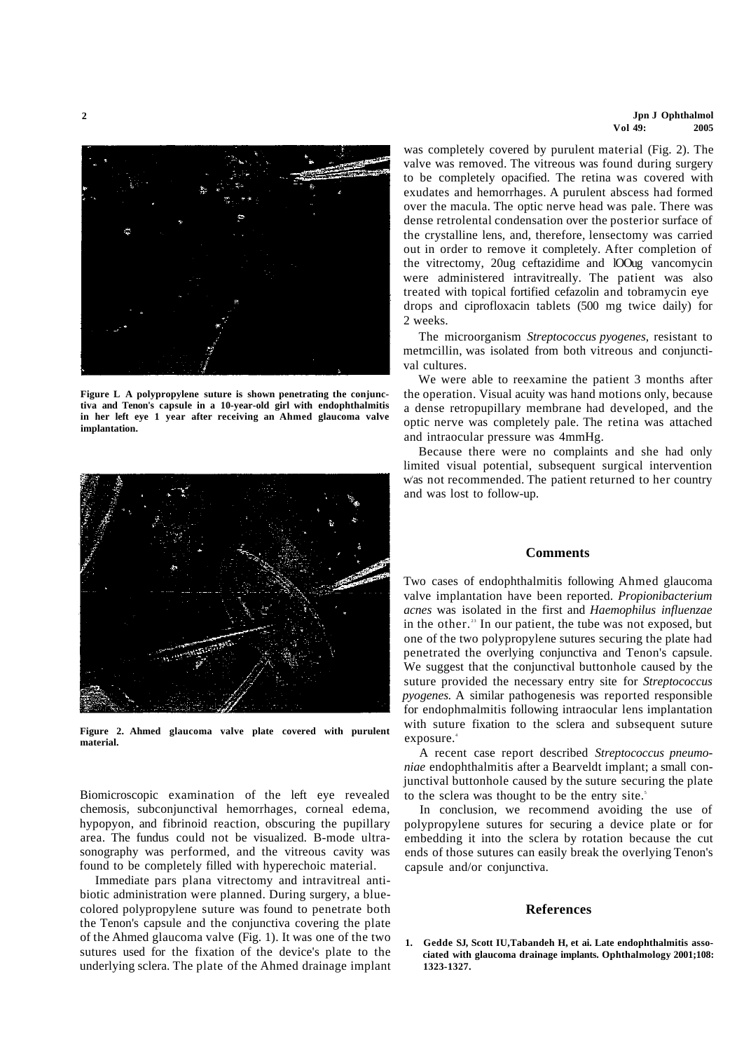

**Figure L A polypropylene suture is shown penetrating the conjunctiva and Tenon's capsule in a 10-year-old girl with endophthalmitis in her left eye 1 year after receiving an Ahmed glaucoma valve implantation.** 



**Figure 2. Ahmed glaucoma valve plate covered with purulent material.** 

Biomicroscopic examination of the left eye revealed chemosis, subconjunctival hemorrhages, corneal edema, hypopyon, and fibrinoid reaction, obscuring the pupillary area. The fundus could not be visualized. B-mode ultrasonography was performed, and the vitreous cavity was found to be completely filled with hyperechoic material.

Immediate pars plana vitrectomy and intravitreal antibiotic administration were planned. During surgery, a bluecolored polypropylene suture was found to penetrate both the Tenon's capsule and the conjunctiva covering the plate of the Ahmed glaucoma valve (Fig. 1). It was one of the two sutures used for the fixation of the device's plate to the underlying sclera. The plate of the Ahmed drainage implant was completely covered by purulent material (Fig. 2). The valve was removed. The vitreous was found during surgery to be completely opacified. The retina was covered with exudates and hemorrhages. A purulent abscess had formed over the macula. The optic nerve head was pale. There was dense retrolental condensation over the posterior surface of the crystalline lens, and, therefore, lensectomy was carried out in order to remove it completely. After completion of the vitrectomy, 20ug ceftazidime and lOOug vancomycin were administered intravitreally. The patient was also treated with topical fortified cefazolin and tobramycin eye drops and ciprofloxacin tablets (500 mg twice daily) for 2 weeks.

The microorganism *Streptococcus pyogenes,* resistant to metmcillin, was isolated from both vitreous and conjunctival cultures.

We were able to reexamine the patient 3 months after the operation. Visual acuity was hand motions only, because a dense retropupillary membrane had developed, and the optic nerve was completely pale. The retina was attached and intraocular pressure was 4mmHg.

Because there were no complaints and she had only limited visual potential, subsequent surgical intervention was not recommended. The patient returned to her country and was lost to follow-up.

## **Comments**

Two cases of endophthalmitis following Ahmed glaucoma valve implantation have been reported. *Propionibacterium acnes* was isolated in the first and *Haemophilus influenzae*  in the other.<sup>23</sup> In our patient, the tube was not exposed, but one of the two polypropylene sutures securing the plate had penetrated the overlying conjunctiva and Tenon's capsule. We suggest that the conjunctival buttonhole caused by the suture provided the necessary entry site for *Streptococcus pyogenes.* A similar pathogenesis was reported responsible for endophmalmitis following intraocular lens implantation with suture fixation to the sclera and subsequent suture exposure.

A recent case report described *Streptococcus pneumoniae* endophthalmitis after a Bearveldt implant; a small conjunctival buttonhole caused by the suture securing the plate to the sclera was thought to be the entry site.<sup>5</sup>

In conclusion, we recommend avoiding the use of polypropylene sutures for securing a device plate or for embedding it into the sclera by rotation because the cut ends of those sutures can easily break the overlying Tenon's capsule and/or conjunctiva.

### **References**

**1. Gedde SJ, Scott IU,Tabandeh H, et ai. Late endophthalmitis associated with glaucoma drainage implants. Ophthalmology 2001;108: 1323-1327.**